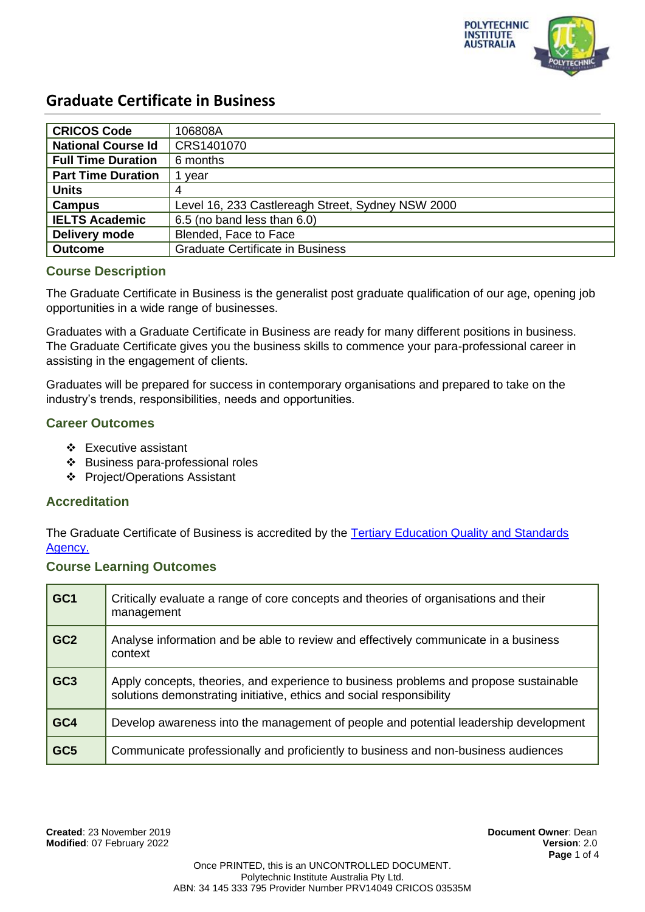

| <b>CRICOS Code</b>        | 106808A                                           |
|---------------------------|---------------------------------------------------|
| <b>National Course Id</b> | CRS1401070                                        |
| <b>Full Time Duration</b> | 6 months                                          |
| <b>Part Time Duration</b> | year                                              |
| <b>Units</b>              |                                                   |
| <b>Campus</b>             | Level 16, 233 Castlereagh Street, Sydney NSW 2000 |
| <b>IELTS Academic</b>     | 6.5 (no band less than 6.0)                       |
| <b>Delivery mode</b>      | Blended, Face to Face                             |
| <b>Outcome</b>            | <b>Graduate Certificate in Business</b>           |

## **Course Description**

The Graduate Certificate in Business is the generalist post graduate qualification of our age, opening job opportunities in a wide range of businesses.

Graduates with a Graduate Certificate in Business are ready for many different positions in business. The Graduate Certificate gives you the business skills to commence your para-professional career in assisting in the engagement of clients.

Graduates will be prepared for success in contemporary organisations and prepared to take on the industry's trends, responsibilities, needs and opportunities.

## **Career Outcomes**

- ❖ Executive assistant
- ❖ Business para-professional roles
- ❖ Project/Operations Assistant

#### **Accreditation**

The Graduate Certificate of Business is accredited by the [Tertiary Education Quality and Standards](https://www.teqsa.gov.au/national-register/course/polytechnic-institute-australia-pty-ltd-4)  [Agency.](https://www.teqsa.gov.au/national-register/course/polytechnic-institute-australia-pty-ltd-4)

#### **Course Learning Outcomes**

| GC1             | Critically evaluate a range of core concepts and theories of organisations and their<br>management                                                            |  |
|-----------------|---------------------------------------------------------------------------------------------------------------------------------------------------------------|--|
| GC <sub>2</sub> | Analyse information and be able to review and effectively communicate in a business<br>context                                                                |  |
| GC <sub>3</sub> | Apply concepts, theories, and experience to business problems and propose sustainable<br>solutions demonstrating initiative, ethics and social responsibility |  |
| GC4             | Develop awareness into the management of people and potential leadership development                                                                          |  |
| GC <sub>5</sub> | Communicate professionally and proficiently to business and non-business audiences                                                                            |  |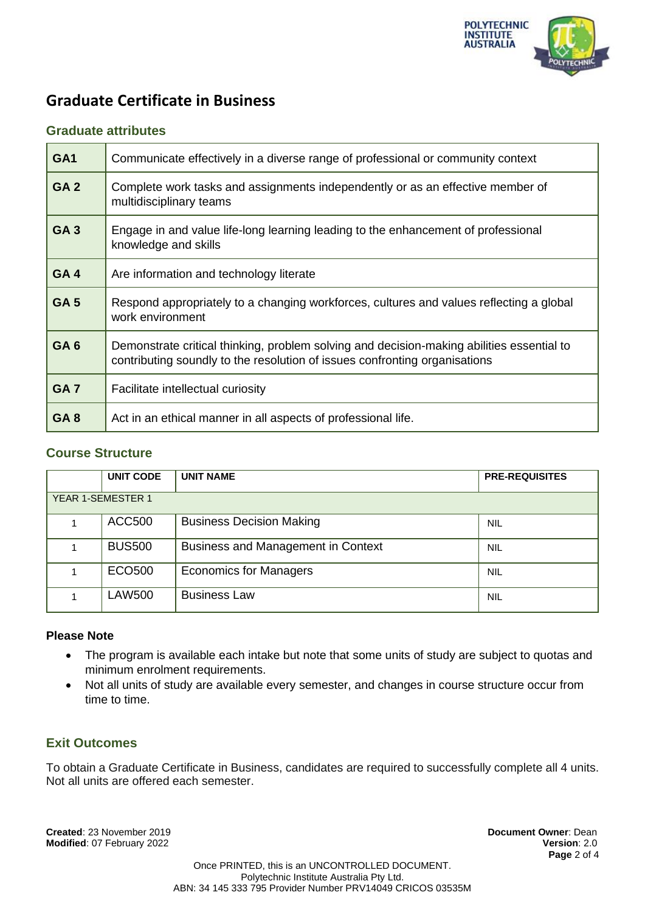

## **Graduate attributes**

| GA <sub>1</sub> | Communicate effectively in a diverse range of professional or community context                                                                                         |  |  |
|-----------------|-------------------------------------------------------------------------------------------------------------------------------------------------------------------------|--|--|
| GA <sub>2</sub> | Complete work tasks and assignments independently or as an effective member of<br>multidisciplinary teams                                                               |  |  |
| <b>GA3</b>      | Engage in and value life-long learning leading to the enhancement of professional<br>knowledge and skills                                                               |  |  |
| GA <sub>4</sub> | Are information and technology literate                                                                                                                                 |  |  |
| <b>GA5</b>      | Respond appropriately to a changing workforces, cultures and values reflecting a global<br>work environment                                                             |  |  |
| GA <sub>6</sub> | Demonstrate critical thinking, problem solving and decision-making abilities essential to<br>contributing soundly to the resolution of issues confronting organisations |  |  |
| GA <sub>7</sub> | Facilitate intellectual curiosity                                                                                                                                       |  |  |
| GA <sub>8</sub> | Act in an ethical manner in all aspects of professional life.                                                                                                           |  |  |

## **Course Structure**

|                          | <b>UNIT CODE</b> | <b>UNIT NAME</b>                          | <b>PRE-REQUISITES</b> |  |  |
|--------------------------|------------------|-------------------------------------------|-----------------------|--|--|
| <b>YEAR 1-SEMESTER 1</b> |                  |                                           |                       |  |  |
|                          | <b>ACC500</b>    | <b>Business Decision Making</b>           | <b>NIL</b>            |  |  |
|                          | <b>BUS500</b>    | <b>Business and Management in Context</b> | <b>NIL</b>            |  |  |
|                          | ECO500           | <b>Economics for Managers</b>             | <b>NIL</b>            |  |  |
|                          | LAW500           | <b>Business Law</b>                       | <b>NIL</b>            |  |  |

### **Please Note**

- The program is available each intake but note that some units of study are subject to quotas and minimum enrolment requirements.
- Not all units of study are available every semester, and changes in course structure occur from time to time.

## **Exit Outcomes**

To obtain a Graduate Certificate in Business, candidates are required to successfully complete all 4 units. Not all units are offered each semester.

**Created**: 23 November 2019 **Document Owner**: Dean **Modified: 07 February 2022**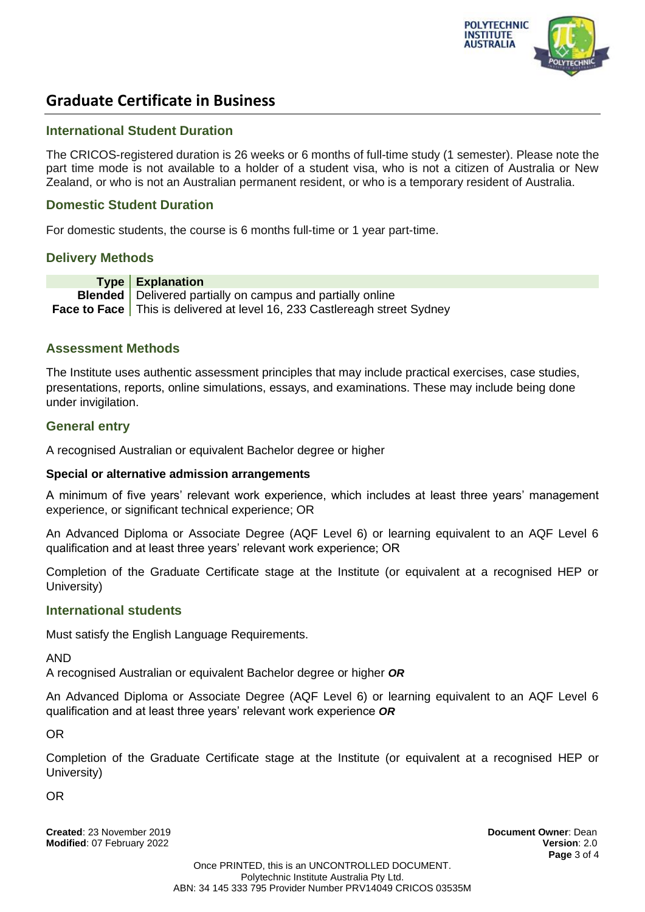

#### **International Student Duration**

The CRICOS-registered duration is 26 weeks or 6 months of full-time study (1 semester). Please note the part time mode is not available to a holder of a student visa, who is not a citizen of Australia or New Zealand, or who is not an Australian permanent resident, or who is a temporary resident of Australia.

#### **Domestic Student Duration**

For domestic students, the course is 6 months full-time or 1 year part-time.

#### **Delivery Methods**

**Type Explanation Blended** Delivered partially on campus and partially online **Face to Face** This is delivered at level 16, 233 Castlereagh street Sydney

## **Assessment Methods**

The Institute uses authentic assessment principles that may include practical exercises, case studies, presentations, reports, online simulations, essays, and examinations. These may include being done under invigilation.

## **General entry**

A recognised Australian or equivalent Bachelor degree or higher

#### **Special or alternative admission arrangements**

A minimum of five years' relevant work experience, which includes at least three years' management experience, or significant technical experience; OR

An Advanced Diploma or Associate Degree (AQF Level 6) or learning equivalent to an AQF Level 6 qualification and at least three years' relevant work experience; OR

Completion of the Graduate Certificate stage at the Institute (or equivalent at a recognised HEP or University)

#### **International students**

Must satisfy the English Language Requirements.

AND

A recognised Australian or equivalent Bachelor degree or higher *OR*

An Advanced Diploma or Associate Degree (AQF Level 6) or learning equivalent to an AQF Level 6 qualification and at least three years' relevant work experience *OR*

OR

Completion of the Graduate Certificate stage at the Institute (or equivalent at a recognised HEP or University)

OR

**Created**: 23 November 2019 **Document Owner**: Dean **Modified**: 07 February 2022 **Version**: 2.0

**Page** 3 of 4